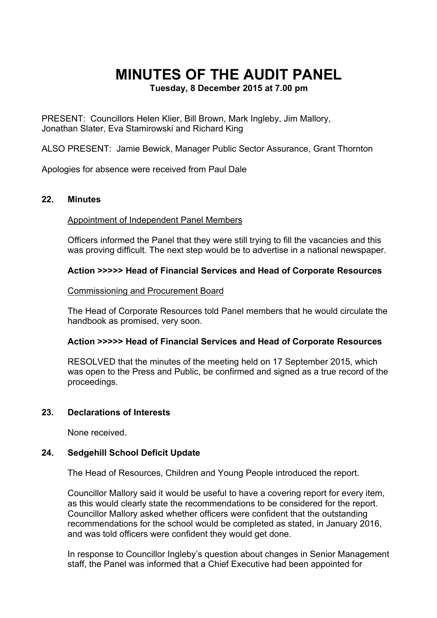# **MINUTES OF THE AUDIT PANEL**

**Tuesday, 8 December 2015 at 7.00 pm**

PRESENT: Councillors Helen Klier, Bill Brown, Mark Ingleby, Jim Mallory, Jonathan Slater, Eva Stamirowski and Richard King

ALSO PRESENT: Jamie Bewick, Manager Public Sector Assurance, Grant Thornton

Apologies for absence were received from Paul Dale

#### **22. Minutes**

Appointment of Independent Panel Members

Officers informed the Panel that they were still trying to fill the vacancies and this was proving difficult. The next step would be to advertise in a national newspaper.

#### **Action >>>>> Head of Financial Services and Head of Corporate Resources**

#### Commissioning and Procurement Board

The Head of Corporate Resources told Panel members that he would circulate the handbook as promised, very soon.

#### **Action >>>>> Head of Financial Services and Head of Corporate Resources**

RESOLVED that the minutes of the meeting held on 17 September 2015, which was open to the Press and Public, be confirmed and signed as a true record of the proceedings.

#### **23. Declarations of Interests**

None received.

## **24. Sedgehill School Deficit Update**

The Head of Resources, Children and Young People introduced the report.

Councillor Mallory said it would be useful to have a covering report for every item, as this would clearly state the recommendations to be considered for the report. Councillor Mallory asked whether officers were confident that the outstanding recommendations for the school would be completed as stated, in January 2016, and was told officers were confident they would get done.

In response to Councillor Ingleby's question about changes in Senior Management staff, the Panel was informed that a Chief Executive had been appointed for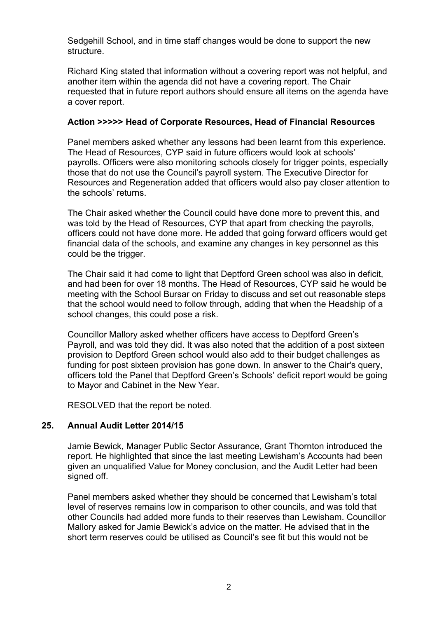Sedgehill School, and in time staff changes would be done to support the new structure.

Richard King stated that information without a covering report was not helpful, and another item within the agenda did not have a covering report. The Chair requested that in future report authors should ensure all items on the agenda have a cover report.

## **Action >>>>> Head of Corporate Resources, Head of Financial Resources**

Panel members asked whether any lessons had been learnt from this experience. The Head of Resources, CYP said in future officers would look at schools' payrolls. Officers were also monitoring schools closely for trigger points, especially those that do not use the Council's payroll system. The Executive Director for Resources and Regeneration added that officers would also pay closer attention to the schools' returns.

The Chair asked whether the Council could have done more to prevent this, and was told by the Head of Resources, CYP that apart from checking the payrolls, officers could not have done more. He added that going forward officers would get financial data of the schools, and examine any changes in key personnel as this could be the trigger.

The Chair said it had come to light that Deptford Green school was also in deficit, and had been for over 18 months. The Head of Resources, CYP said he would be meeting with the School Bursar on Friday to discuss and set out reasonable steps that the school would need to follow through, adding that when the Headship of a school changes, this could pose a risk.

Councillor Mallory asked whether officers have access to Deptford Green's Payroll, and was told they did. It was also noted that the addition of a post sixteen provision to Deptford Green school would also add to their budget challenges as funding for post sixteen provision has gone down. In answer to the Chair's query, officers told the Panel that Deptford Green's Schools' deficit report would be going to Mayor and Cabinet in the New Year.

RESOLVED that the report be noted.

# **25. Annual Audit Letter 2014/15**

Jamie Bewick, Manager Public Sector Assurance, Grant Thornton introduced the report. He highlighted that since the last meeting Lewisham's Accounts had been given an unqualified Value for Money conclusion, and the Audit Letter had been signed off.

Panel members asked whether they should be concerned that Lewisham's total level of reserves remains low in comparison to other councils, and was told that other Councils had added more funds to their reserves than Lewisham. Councillor Mallory asked for Jamie Bewick's advice on the matter. He advised that in the short term reserves could be utilised as Council's see fit but this would not be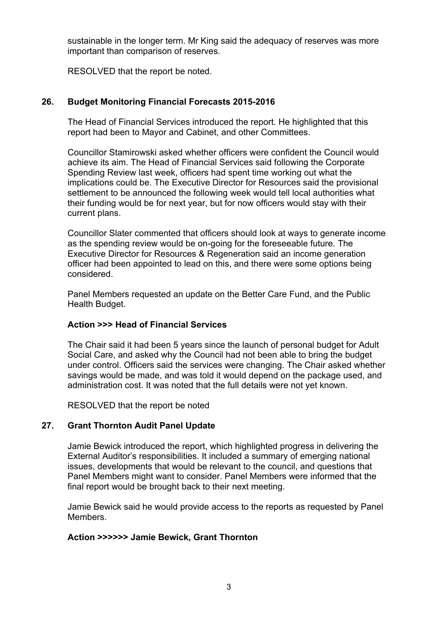sustainable in the longer term. Mr King said the adequacy of reserves was more important than comparison of reserves.

RESOLVED that the report be noted.

# **26. Budget Monitoring Financial Forecasts 2015-2016**

The Head of Financial Services introduced the report. He highlighted that this report had been to Mayor and Cabinet, and other Committees.

Councillor Stamirowski asked whether officers were confident the Council would achieve its aim. The Head of Financial Services said following the Corporate Spending Review last week, officers had spent time working out what the implications could be. The Executive Director for Resources said the provisional settlement to be announced the following week would tell local authorities what their funding would be for next year, but for now officers would stay with their current plans.

Councillor Slater commented that officers should look at ways to generate income as the spending review would be on-going for the foreseeable future. The Executive Director for Resources & Regeneration said an income generation officer had been appointed to lead on this, and there were some options being considered.

Panel Members requested an update on the Better Care Fund, and the Public Health Budget.

# **Action >>> Head of Financial Services**

The Chair said it had been 5 years since the launch of personal budget for Adult Social Care, and asked why the Council had not been able to bring the budget under control. Officers said the services were changing. The Chair asked whether savings would be made, and was told it would depend on the package used, and administration cost. It was noted that the full details were not yet known.

RESOLVED that the report be noted

# **27. Grant Thornton Audit Panel Update**

Jamie Bewick introduced the report, which highlighted progress in delivering the External Auditor's responsibilities. It included a summary of emerging national issues, developments that would be relevant to the council, and questions that Panel Members might want to consider. Panel Members were informed that the final report would be brought back to their next meeting.

Jamie Bewick said he would provide access to the reports as requested by Panel Members.

# **Action >>>>>> Jamie Bewick, Grant Thornton**